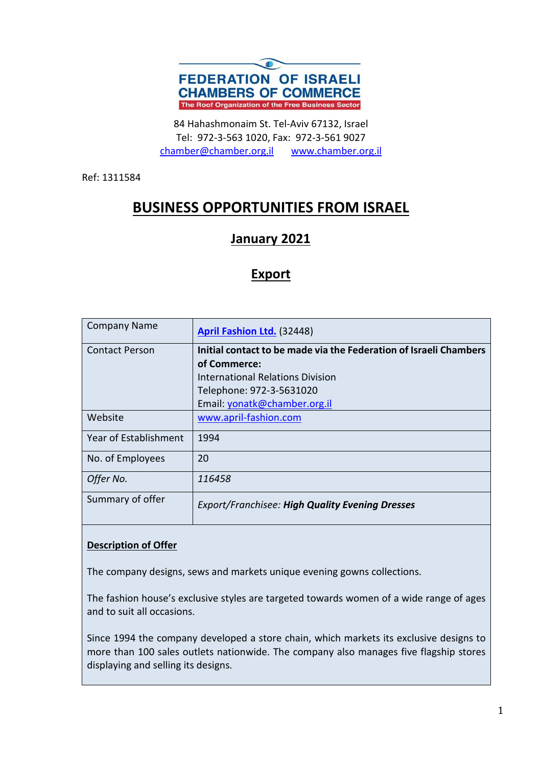

84 Hahashmonaim St. Tel-Aviv 67132, Israel Tel: 972-3-563 1020, Fax: 972-3-561 9027 chamber@chamber.org.il www.chamber.org.il

Ref: 1311584

# **BUSINESS OPPORTUNITIES FROM ISRAEL**

## **January 2021**

### **Export**

| <b>Company Name</b>   | <b>April Fashion Ltd. (32448)</b>                                 |
|-----------------------|-------------------------------------------------------------------|
| <b>Contact Person</b> | Initial contact to be made via the Federation of Israeli Chambers |
|                       | of Commerce:                                                      |
|                       | International Relations Division                                  |
|                       | Telephone: 972-3-5631020                                          |
|                       | Email: yonatk@chamber.org.il                                      |
| Website               | www.april-fashion.com                                             |
| Year of Establishment | 1994                                                              |
| No. of Employees      | 20                                                                |
| Offer No.             | 116458                                                            |
| Summary of offer      | <b>Export/Franchisee: High Quality Evening Dresses</b>            |

#### **Description of Offer**

The company designs, sews and markets unique evening gowns collections.

The fashion house's exclusive styles are targeted towards women of a wide range of ages and to suit all occasions.

Since 1994 the company developed a store chain, which markets its exclusive designs to more than 100 sales outlets nationwide. The company also manages five flagship stores displaying and selling its designs.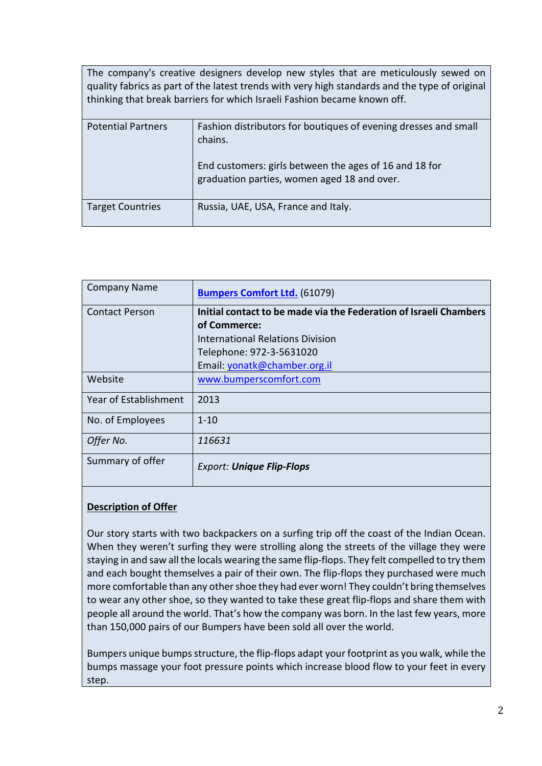| The company's creative designers develop new styles that are meticulously sewed on<br>quality fabrics as part of the latest trends with very high standards and the type of original<br>thinking that break barriers for which Israeli Fashion became known off. |                                                                                                                                                                                     |
|------------------------------------------------------------------------------------------------------------------------------------------------------------------------------------------------------------------------------------------------------------------|-------------------------------------------------------------------------------------------------------------------------------------------------------------------------------------|
| <b>Potential Partners</b>                                                                                                                                                                                                                                        | Fashion distributors for boutiques of evening dresses and small<br>chains.<br>End customers: girls between the ages of 16 and 18 for<br>graduation parties, women aged 18 and over. |
| <b>Target Countries</b>                                                                                                                                                                                                                                          | Russia, UAE, USA, France and Italy.                                                                                                                                                 |

| <b>Company Name</b>   | <b>Bumpers Comfort Ltd.</b> (61079)                               |
|-----------------------|-------------------------------------------------------------------|
| <b>Contact Person</b> | Initial contact to be made via the Federation of Israeli Chambers |
|                       | of Commerce:                                                      |
|                       | International Relations Division                                  |
|                       | Telephone: 972-3-5631020                                          |
|                       | Email: yonatk@chamber.org.il                                      |
| Website               | www.bumperscomfort.com                                            |
| Year of Establishment | 2013                                                              |
| No. of Employees      | $1 - 10$                                                          |
| Offer No.             | 116631                                                            |
| Summary of offer      | <b>Export: Unique Flip-Flops</b>                                  |

Our story starts with two backpackers on a surfing trip off the coast of the Indian Ocean. When they weren't surfing they were strolling along the streets of the village they were staying in and saw all the locals wearing the same flip-flops. They felt compelled to try them and each bought themselves a pair of their own. The flip-flops they purchased were much more comfortable than any other shoe they had ever worn! They couldn't bring themselves to wear any other shoe, so they wanted to take these great flip-flops and share them with people all around the world. That's how the company was born. In the last few years, more than 150,000 pairs of our Bumpers have been sold all over the world.

Bumpers unique bumps structure, the flip-flops adapt your footprint as you walk, while the bumps massage your foot pressure points which increase blood flow to your feet in every step.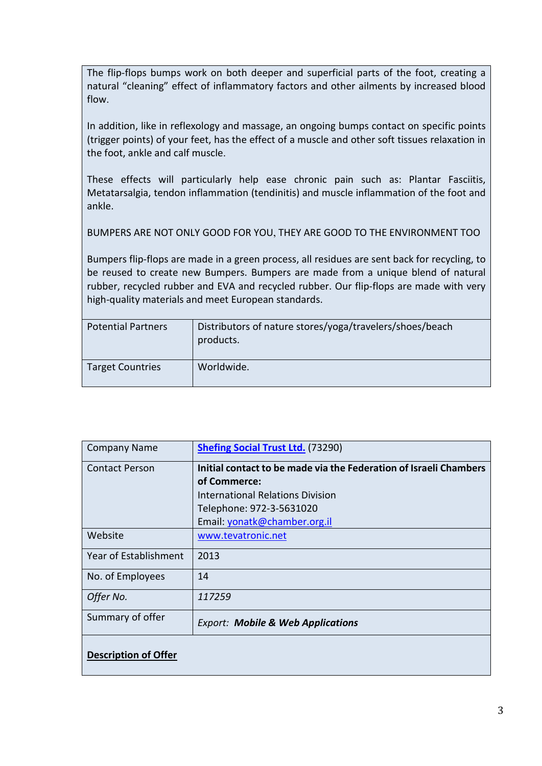The flip-flops bumps work on both deeper and superficial parts of the foot, creating a natural "cleaning" effect of inflammatory factors and other ailments by increased blood flow.

In addition, like in reflexology and massage, an ongoing bumps contact on specific points (trigger points) of your feet, has the effect of a muscle and other soft tissues relaxation in the foot, ankle and calf muscle.

These effects will particularly help ease chronic pain such as: Plantar Fasciitis, Metatarsalgia, tendon inflammation (tendinitis) and muscle inflammation of the foot and ankle.

BUMPERS ARE NOT ONLY GOOD FOR YOU, THEY ARE GOOD TO THE ENVIRONMENT TOO

Bumpers flip-flops are made in a green process, all residues are sent back for recycling, to be reused to create new Bumpers. Bumpers are made from a unique blend of natural rubber, recycled rubber and EVA and recycled rubber. Our flip-flops are made with very high-quality materials and meet European standards.

| <b>Potential Partners</b> | Distributors of nature stores/yoga/travelers/shoes/beach<br>products. |
|---------------------------|-----------------------------------------------------------------------|
| <b>Target Countries</b>   | Worldwide.                                                            |

| <b>Company Name</b>         | <b>Shefing Social Trust Ltd. (73290)</b>                          |
|-----------------------------|-------------------------------------------------------------------|
| <b>Contact Person</b>       | Initial contact to be made via the Federation of Israeli Chambers |
|                             | of Commerce:                                                      |
|                             | <b>International Relations Division</b>                           |
|                             | Telephone: 972-3-5631020                                          |
|                             | Email: yonatk@chamber.org.il                                      |
| Website                     | www.tevatronic.net                                                |
| Year of Establishment       | 2013                                                              |
| No. of Employees            | 14                                                                |
| Offer No.                   | 117259                                                            |
| Summary of offer            | <b>Export: Mobile &amp; Web Applications</b>                      |
| <b>Description of Offer</b> |                                                                   |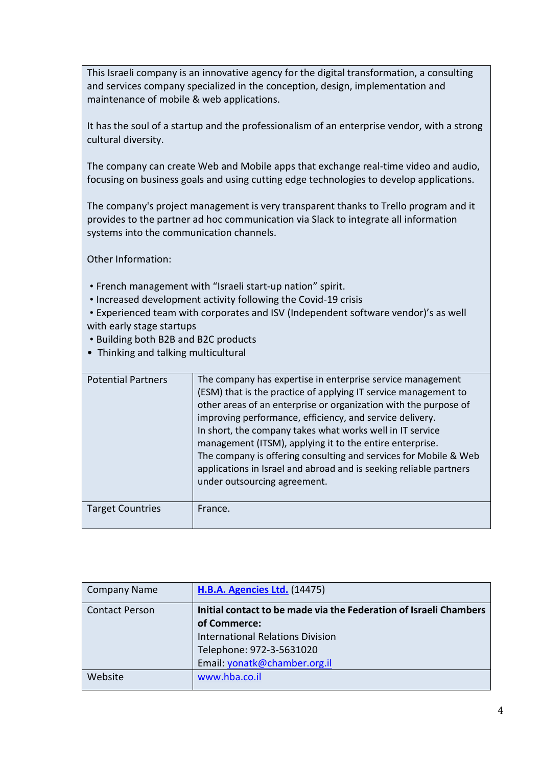This Israeli company is an innovative agency for the digital transformation, a consulting and services company specialized in the conception, design, implementation and maintenance of mobile & web applications.

It has the soul of a startup and the professionalism of an enterprise vendor, with a strong cultural diversity.

The company can create Web and Mobile apps that exchange real-time video and audio, focusing on business goals and using cutting edge technologies to develop applications.

The company's project management is very transparent thanks to Trello program and it provides to the partner ad hoc communication via Slack to integrate all information systems into the communication channels.

Other Information:

- French management with "Israeli start-up nation" spirit.
- Increased development activity following the Covid-19 crisis

 • Experienced team with corporates and ISV (Independent software vendor)'s as well with early stage startups

- Building both B2B and B2C products
- Thinking and talking multicultural

| <b>Potential Partners</b> | The company has expertise in enterprise service management<br>(ESM) that is the practice of applying IT service management to<br>other areas of an enterprise or organization with the purpose of<br>improving performance, efficiency, and service delivery.<br>In short, the company takes what works well in IT service<br>management (ITSM), applying it to the entire enterprise.<br>The company is offering consulting and services for Mobile & Web<br>applications in Israel and abroad and is seeking reliable partners<br>under outsourcing agreement. |
|---------------------------|------------------------------------------------------------------------------------------------------------------------------------------------------------------------------------------------------------------------------------------------------------------------------------------------------------------------------------------------------------------------------------------------------------------------------------------------------------------------------------------------------------------------------------------------------------------|
| <b>Target Countries</b>   | France.                                                                                                                                                                                                                                                                                                                                                                                                                                                                                                                                                          |

| <b>Company Name</b>   | <b>H.B.A. Agencies Ltd.</b> (14475)                               |
|-----------------------|-------------------------------------------------------------------|
| <b>Contact Person</b> | Initial contact to be made via the Federation of Israeli Chambers |
|                       | of Commerce:                                                      |
|                       | <b>International Relations Division</b>                           |
|                       | Telephone: 972-3-5631020                                          |
|                       | Email: yonatk@chamber.org.il                                      |
| Website               | www.hba.co.il                                                     |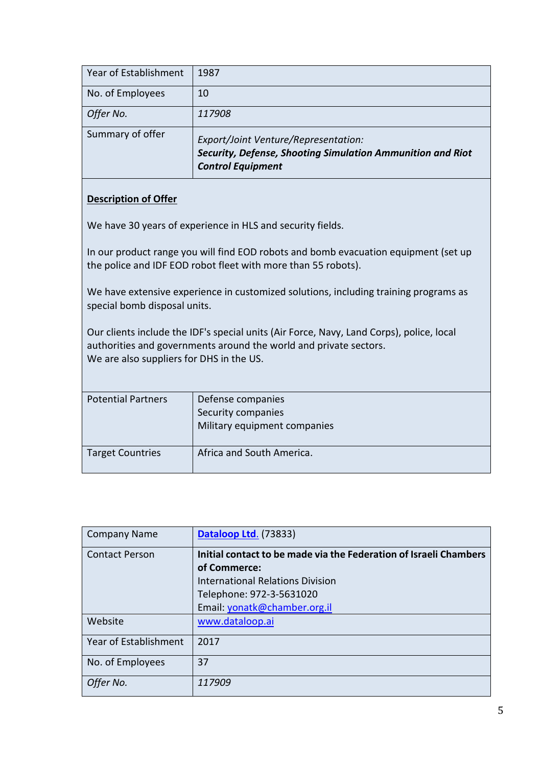| Year of Establishment | 1987                                                                                                                           |
|-----------------------|--------------------------------------------------------------------------------------------------------------------------------|
| No. of Employees      | 10                                                                                                                             |
| Offer No.             | 117908                                                                                                                         |
| Summary of offer      | Export/Joint Venture/Representation:<br>Security, Defense, Shooting Simulation Ammunition and Riot<br><b>Control Equipment</b> |

We have 30 years of experience in HLS and security fields.

In our product range you will find EOD robots and bomb evacuation equipment (set up the police and IDF EOD robot fleet with more than 55 robots).

We have extensive experience in customized solutions, including training programs as special bomb disposal units.

Our clients include the IDF's special units (Air Force, Navy, Land Corps), police, local authorities and governments around the world and private sectors. We are also suppliers for DHS in the US.

| <b>Potential Partners</b> | Defense companies<br>Security companies<br>Military equipment companies |
|---------------------------|-------------------------------------------------------------------------|
| <b>Target Countries</b>   | Africa and South America.                                               |

| <b>Company Name</b>   | Dataloop Ltd. (73833)                                             |
|-----------------------|-------------------------------------------------------------------|
| <b>Contact Person</b> | Initial contact to be made via the Federation of Israeli Chambers |
|                       | of Commerce:                                                      |
|                       | International Relations Division                                  |
|                       | Telephone: 972-3-5631020                                          |
|                       | Email: yonatk@chamber.org.il                                      |
| Website               | www.dataloop.ai                                                   |
| Year of Establishment | 2017                                                              |
| No. of Employees      | 37                                                                |
| Offer No.             | 117909                                                            |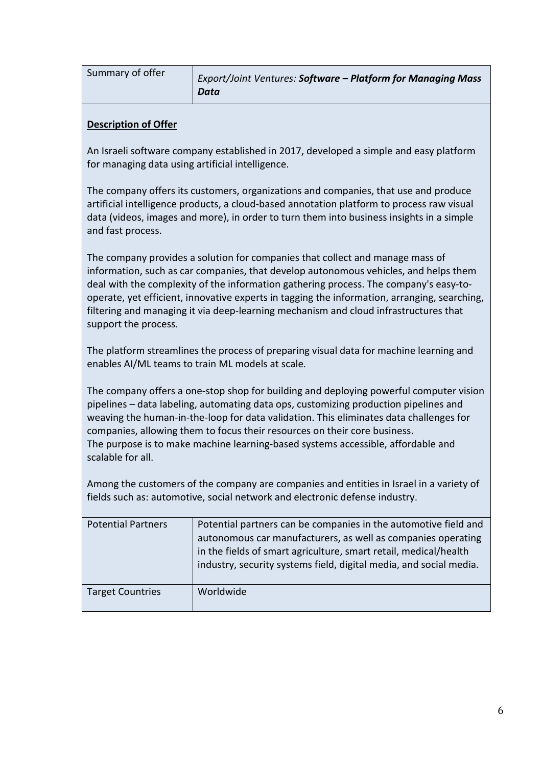| Summary of offer<br>Export/Joint Ventures: Software - Platform for Managing Mass<br>Data |
|------------------------------------------------------------------------------------------|
|------------------------------------------------------------------------------------------|

An Israeli software company established in 2017, developed a simple and easy platform for managing data using artificial intelligence.

The company offers its customers, organizations and companies, that use and produce artificial intelligence products, a cloud-based annotation platform to process raw visual data (videos, images and more), in order to turn them into business insights in a simple and fast process.

The company provides a solution for companies that collect and manage mass of information, such as car companies, that develop autonomous vehicles, and helps them deal with the complexity of the information gathering process. The company's easy-tooperate, yet efficient, innovative experts in tagging the information, arranging, searching, filtering and managing it via deep-learning mechanism and cloud infrastructures that support the process.

The platform streamlines the process of preparing visual data for machine learning and enables AI/ML teams to train ML models at scale.

The company offers a one-stop shop for building and deploying powerful computer vision pipelines – data labeling, automating data ops, customizing production pipelines and weaving the human-in-the-loop for data validation. This eliminates data challenges for companies, allowing them to focus their resources on their core business. The purpose is to make machine learning-based systems accessible, affordable and scalable for all.

Among the customers of the company are companies and entities in Israel in a variety of fields such as: automotive, social network and electronic defense industry.

| <b>Potential Partners</b> | Potential partners can be companies in the automotive field and<br>autonomous car manufacturers, as well as companies operating<br>in the fields of smart agriculture, smart retail, medical/health<br>industry, security systems field, digital media, and social media. |
|---------------------------|---------------------------------------------------------------------------------------------------------------------------------------------------------------------------------------------------------------------------------------------------------------------------|
| <b>Target Countries</b>   | Worldwide                                                                                                                                                                                                                                                                 |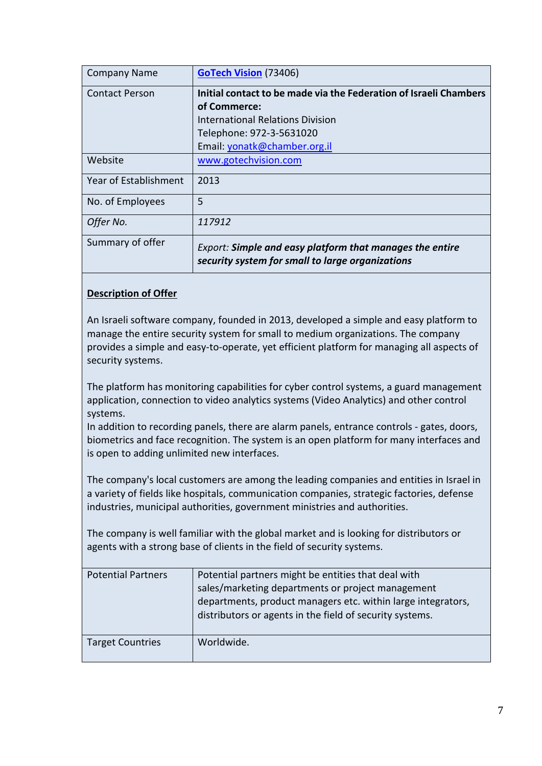| <b>Company Name</b>   | <b>GoTech Vision (73406)</b>                                                                                 |
|-----------------------|--------------------------------------------------------------------------------------------------------------|
| <b>Contact Person</b> | Initial contact to be made via the Federation of Israeli Chambers                                            |
|                       | of Commerce:                                                                                                 |
|                       | International Relations Division                                                                             |
|                       | Telephone: 972-3-5631020                                                                                     |
|                       | Email: yonatk@chamber.org.il                                                                                 |
| Website               | www.gotechvision.com                                                                                         |
| Year of Establishment | 2013                                                                                                         |
| No. of Employees      | 5                                                                                                            |
| Offer No.             | 117912                                                                                                       |
| Summary of offer      | Export: Simple and easy platform that manages the entire<br>security system for small to large organizations |

An Israeli software company, founded in 2013, developed a simple and easy platform to manage the entire security system for small to medium organizations. The company provides a simple and easy-to-operate, yet efficient platform for managing all aspects of security systems.

The platform has monitoring capabilities for cyber control systems, a guard management application, connection to video analytics systems (Video Analytics) and other control systems.

In addition to recording panels, there are alarm panels, entrance controls - gates, doors, biometrics and face recognition. The system is an open platform for many interfaces and is open to adding unlimited new interfaces.

The company's local customers are among the leading companies and entities in Israel in a variety of fields like hospitals, communication companies, strategic factories, defense industries, municipal authorities, government ministries and authorities.

The company is well familiar with the global market and is looking for distributors or agents with a strong base of clients in the field of security systems.

| <b>Potential Partners</b> | Potential partners might be entities that deal with<br>sales/marketing departments or project management<br>departments, product managers etc. within large integrators,<br>distributors or agents in the field of security systems. |
|---------------------------|--------------------------------------------------------------------------------------------------------------------------------------------------------------------------------------------------------------------------------------|
| <b>Target Countries</b>   | Worldwide.                                                                                                                                                                                                                           |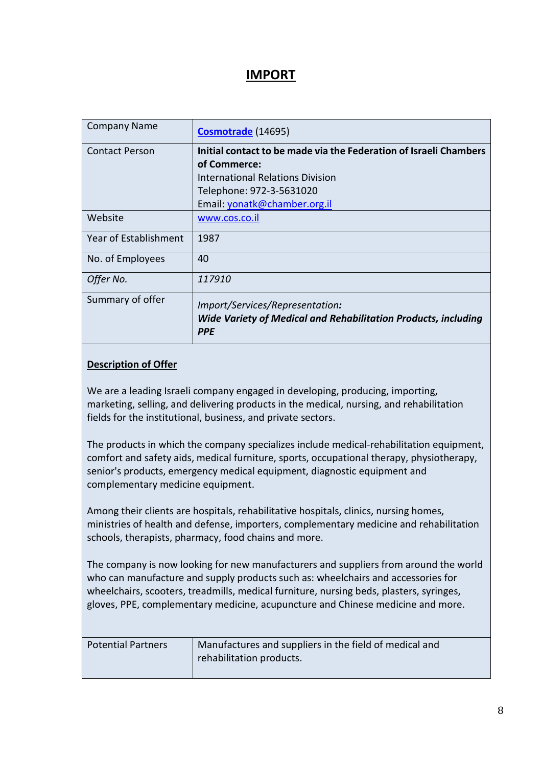### **IMPORT**

| <b>Company Name</b>   | Cosmotrade (14695)                                                                                                     |
|-----------------------|------------------------------------------------------------------------------------------------------------------------|
| <b>Contact Person</b> | Initial contact to be made via the Federation of Israeli Chambers                                                      |
|                       | of Commerce:                                                                                                           |
|                       | <b>International Relations Division</b>                                                                                |
|                       | Telephone: 972-3-5631020                                                                                               |
|                       | Email: yonatk@chamber.org.il                                                                                           |
| Website               | www.cos.co.il                                                                                                          |
| Year of Establishment | 1987                                                                                                                   |
| No. of Employees      | 40                                                                                                                     |
| Offer No.             | 117910                                                                                                                 |
| Summary of offer      | Import/Services/Representation:<br><b>Wide Variety of Medical and Rehabilitation Products, including</b><br><b>PPE</b> |

#### **Description of Offer**

We are a leading Israeli company engaged in developing, producing, importing, marketing, selling, and delivering products in the medical, nursing, and rehabilitation fields for the institutional, business, and private sectors.

The products in which the company specializes include medical-rehabilitation equipment, comfort and safety aids, medical furniture, sports, occupational therapy, physiotherapy, senior's products, emergency medical equipment, diagnostic equipment and complementary medicine equipment.

Among their clients are hospitals, rehabilitative hospitals, clinics, nursing homes, ministries of health and defense, importers, complementary medicine and rehabilitation schools, therapists, pharmacy, food chains and more.

The company is now looking for new manufacturers and suppliers from around the world who can manufacture and supply products such as: wheelchairs and accessories for wheelchairs, scooters, treadmills, medical furniture, nursing beds, plasters, syringes, gloves, PPE, complementary medicine, acupuncture and Chinese medicine and more.

| <b>Potential Partners</b> | Manufactures and suppliers in the field of medical and |
|---------------------------|--------------------------------------------------------|
|                           | rehabilitation products.                               |
|                           |                                                        |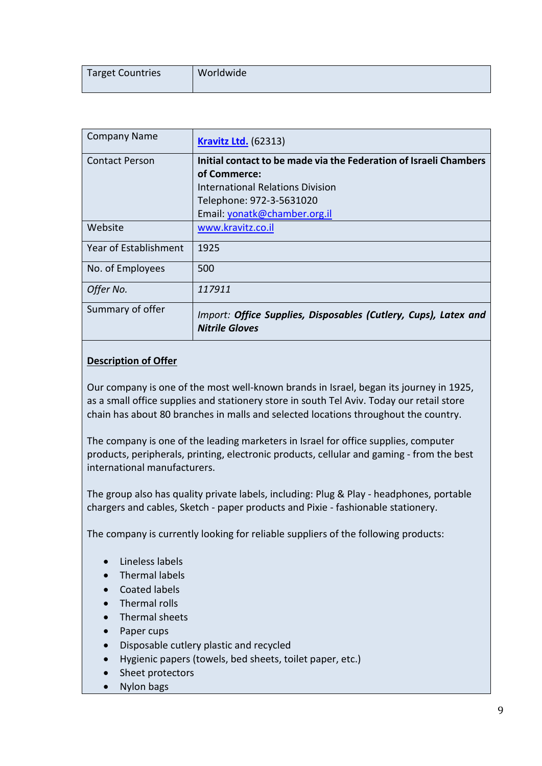|  | Worldwide<br>Target Countries |  |
|--|-------------------------------|--|
|--|-------------------------------|--|

| <b>Company Name</b>   | <b>Kravitz Ltd.</b> (62313)                                                              |
|-----------------------|------------------------------------------------------------------------------------------|
| <b>Contact Person</b> | Initial contact to be made via the Federation of Israeli Chambers                        |
|                       | of Commerce:                                                                             |
|                       | <b>International Relations Division</b>                                                  |
|                       | Telephone: 972-3-5631020                                                                 |
|                       | Email: yonatk@chamber.org.il                                                             |
| Website               | www.kravitz.co.il                                                                        |
| Year of Establishment | 1925                                                                                     |
| No. of Employees      | 500                                                                                      |
| Offer No.             | 117911                                                                                   |
| Summary of offer      | Import: Office Supplies, Disposables (Cutlery, Cups), Latex and<br><b>Nitrile Gloves</b> |

Our company is one of the most well-known brands in Israel, began its journey in 1925, as a small office supplies and stationery store in south Tel Aviv. Today our retail store chain has about 80 branches in malls and selected locations throughout the country.

The company is one of the leading marketers in Israel for office supplies, computer products, peripherals, printing, electronic products, cellular and gaming - from the best international manufacturers.

The group also has quality private labels, including: Plug & Play - headphones, portable chargers and cables, Sketch - paper products and Pixie - fashionable stationery.

The company is currently looking for reliable suppliers of the following products:

- Lineless labels
- Thermal labels
- Coated labels
- Thermal rolls
- Thermal sheets
- Paper cups
- Disposable cutlery plastic and recycled
- Hygienic papers (towels, bed sheets, toilet paper, etc.)
- Sheet protectors
- Nylon bags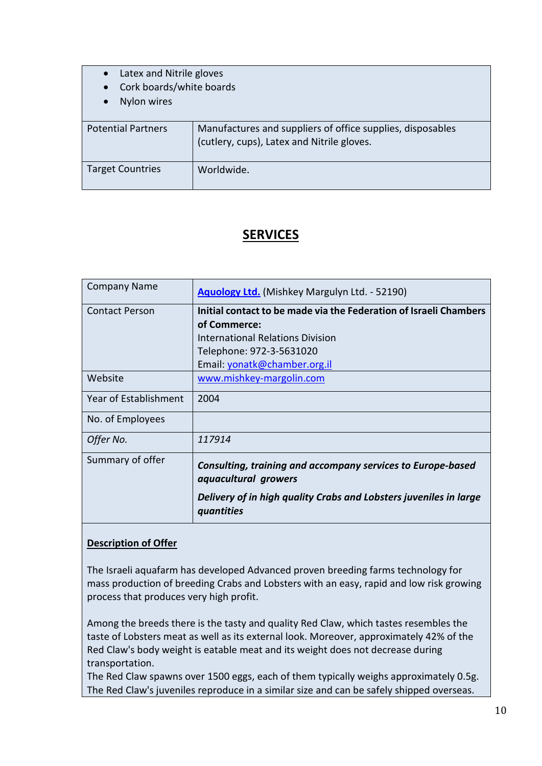| Latex and Nitrile gloves<br>Cork boards/white boards<br>Nylon wires |                                                                                                          |
|---------------------------------------------------------------------|----------------------------------------------------------------------------------------------------------|
| <b>Potential Partners</b>                                           | Manufactures and suppliers of office supplies, disposables<br>(cutlery, cups), Latex and Nitrile gloves. |
| <b>Target Countries</b>                                             | Worldwide.                                                                                               |

## **SERVICES**

| <b>Company Name</b>   | <b>Aquology Ltd.</b> (Mishkey Margulyn Ltd. - 52190)                                |
|-----------------------|-------------------------------------------------------------------------------------|
| <b>Contact Person</b> | Initial contact to be made via the Federation of Israeli Chambers                   |
|                       | of Commerce:                                                                        |
|                       | International Relations Division                                                    |
|                       | Telephone: 972-3-5631020                                                            |
|                       | Email: yonatk@chamber.org.il                                                        |
| Website               | www.mishkey-margolin.com                                                            |
| Year of Establishment | 2004                                                                                |
| No. of Employees      |                                                                                     |
| Offer No.             | 117914                                                                              |
| Summary of offer      | Consulting, training and accompany services to Europe-based<br>aquacultural growers |
|                       | Delivery of in high quality Crabs and Lobsters juveniles in large<br>quantities     |

#### **Description of Offer**

The Israeli aquafarm has developed Advanced proven breeding farms technology for mass production of breeding Crabs and Lobsters with an easy, rapid and low risk growing process that produces very high profit.

Among the breeds there is the tasty and quality Red Claw, which tastes resembles the taste of Lobsters meat as well as its external look. Moreover, approximately 42% of the Red Claw's body weight is eatable meat and its weight does not decrease during transportation.

The Red Claw spawns over 1500 eggs, each of them typically weighs approximately 0.5g. The Red Claw's juveniles reproduce in a similar size and can be safely shipped overseas.